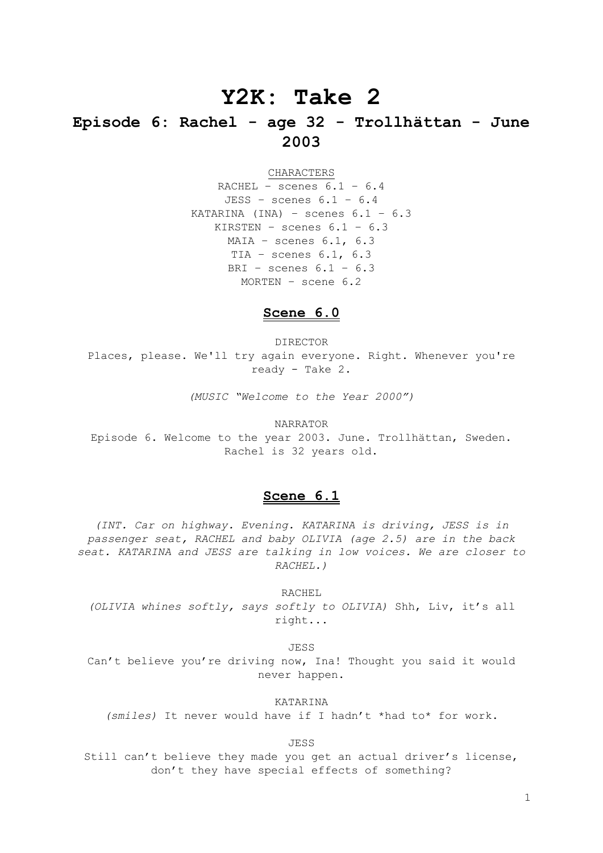# **Y2K: Take 2**

## **Episode 6: Rachel - age 32 - Trollhättan - June 2003**

CHARACTERS

RACHEL - scenes  $6.1 - 6.4$ JESS – scenes 6.1 – 6.4 KATARINA (INA) - scenes  $6.1 - 6.3$ KIRSTEN – scenes 6.1 – 6.3  $MAIA -$  scenes  $6.1, 6.3$ TIA – scenes 6.1, 6.3 BRI – scenes  $6.1 - 6.3$ MORTEN – scene 6.2

#### **Scene 6.0**

DIRECTOR Places, please. We'll try again everyone. Right. Whenever you're ready - Take 2.

*(MUSIC "Welcome to the Year 2000")*

NARRATOR Episode 6. Welcome to the year 2003. June. Trollhättan, Sweden. Rachel is 32 years old.

## **Scene 6.1**

*(INT. Car on highway. Evening. KATARINA is driving, JESS is in passenger seat, RACHEL and baby OLIVIA (age 2.5) are in the back seat. KATARINA and JESS are talking in low voices. We are closer to RACHEL.)*

RACHEL *(OLIVIA whines softly, says softly to OLIVIA)* Shh, Liv, it's all right...

JESS

Can't believe you're driving now, Ina! Thought you said it would never happen.

KATARINA

*(smiles)* It never would have if I hadn't \*had to\* for work.

JESS

Still can't believe they made you get an actual driver's license, don't they have special effects of something?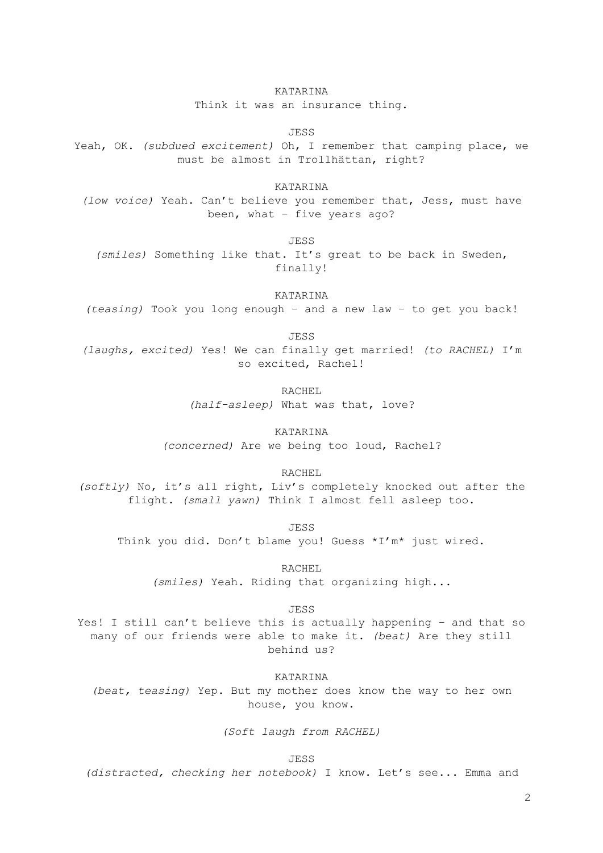Think it was an insurance thing.

JESS

Yeah, OK. *(subdued excitement)* Oh, I remember that camping place, we must be almost in Trollhättan, right?

KATARINA

*(low voice)* Yeah. Can't believe you remember that, Jess, must have been, what – five years ago?

JESS

*(smiles)* Something like that. It's great to be back in Sweden, finally!

KATARINA

*(teasing)* Took you long enough – and a new law – to get you back!

JESS

*(laughs, excited)* Yes! We can finally get married! *(to RACHEL)* I'm so excited, Rachel!

> RACHEL *(half-asleep)* What was that, love?

KATARINA *(concerned)* Are we being too loud, Rachel?

RACHEL

*(softly)* No, it's all right, Liv's completely knocked out after the flight. *(small yawn)* Think I almost fell asleep too.

JESS

Think you did. Don't blame you! Guess \*I'm\* just wired.

RACHEL

*(smiles)* Yeah. Riding that organizing high...

JESS

Yes! I still can't believe this is actually happening – and that so many of our friends were able to make it. *(beat)* Are they still behind us?

KATARINA

*(beat, teasing)* Yep. But my mother does know the way to her own house, you know.

*(Soft laugh from RACHEL)*

JESS

*(distracted, checking her notebook)* I know. Let's see... Emma and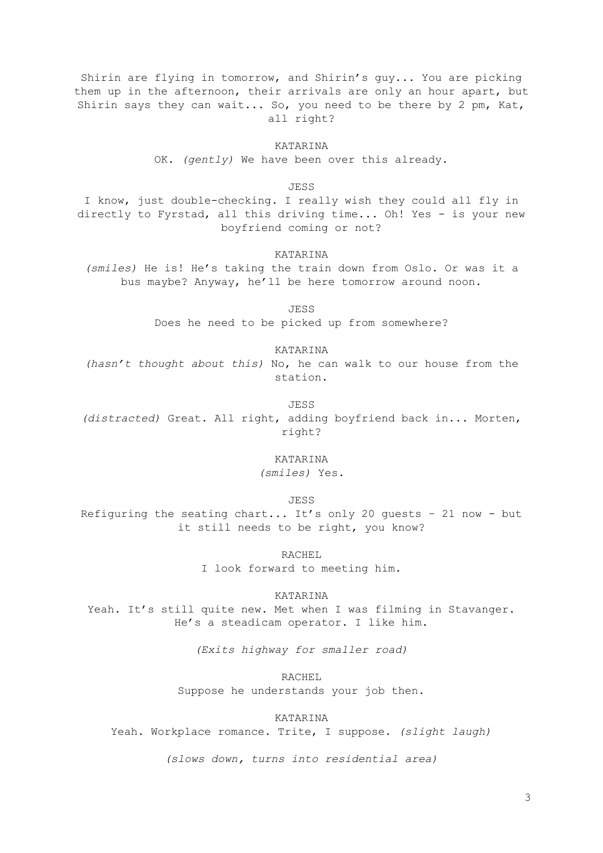Shirin are flying in tomorrow, and Shirin's guy... You are picking them up in the afternoon, their arrivals are only an hour apart, but Shirin says they can wait... So, you need to be there by 2 pm, Kat, all right?

KATARINA

OK. *(gently)* We have been over this already.

JESS

I know, just double-checking. I really wish they could all fly in directly to Fyrstad, all this driving time... Oh! Yes - is your new boyfriend coming or not?

KATARINA

*(smiles)* He is! He's taking the train down from Oslo. Or was it a bus maybe? Anyway, he'll be here tomorrow around noon.

JESS

Does he need to be picked up from somewhere?

KATARINA

*(hasn't thought about this)* No, he can walk to our house from the station.

JESS

*(distracted)* Great. All right, adding boyfriend back in... Morten, right?

> KATARINA *(smiles)* Yes.

> > JESS

Refiguring the seating chart... It's only 20 guests – 21 now - but it still needs to be right, you know?

> RACHEL I look forward to meeting him.

> > KATARINA

Yeah. It's still quite new. Met when I was filming in Stavanger. He's a steadicam operator. I like him.

*(Exits highway for smaller road)*

RACHEL

Suppose he understands your job then.

KATARINA

Yeah. Workplace romance. Trite, I suppose. *(slight laugh)*

*(slows down, turns into residential area)*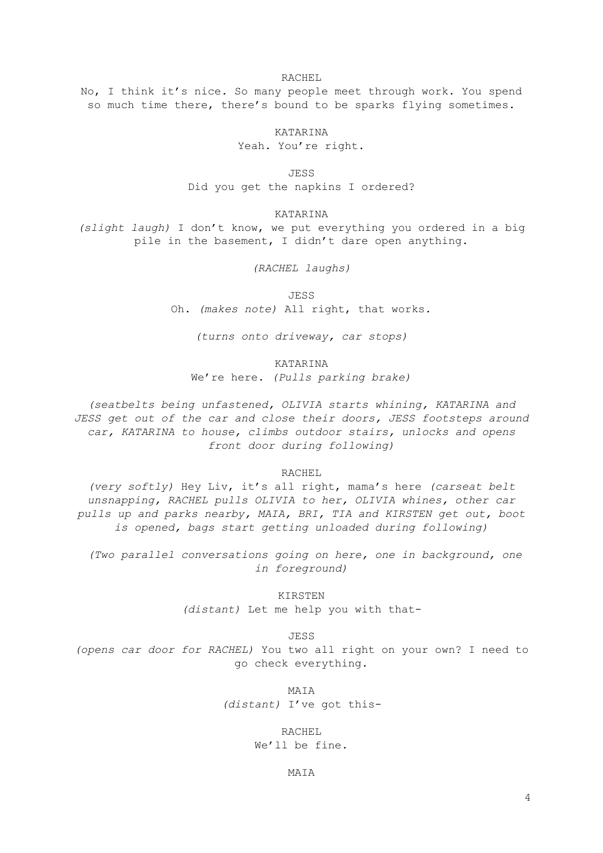RACHEL

No, I think it's nice. So many people meet through work. You spend so much time there, there's bound to be sparks flying sometimes.

> KATARINA Yeah. You're right.

JESS

Did you get the napkins I ordered?

KATARINA

*(slight laugh)* I don't know, we put everything you ordered in a big pile in the basement, I didn't dare open anything.

*(RACHEL laughs)* 

JESS

Oh. *(makes note)* All right, that works.

*(turns onto driveway, car stops)*

KATARINA

We're here. *(Pulls parking brake)*

*(seatbelts being unfastened, OLIVIA starts whining, KATARINA and JESS get out of the car and close their doors, JESS footsteps around car, KATARINA to house, climbs outdoor stairs, unlocks and opens front door during following)*

RACHEL

*(very softly)* Hey Liv, it's all right, mama's here *(carseat belt unsnapping, RACHEL pulls OLIVIA to her, OLIVIA whines, other car pulls up and parks nearby, MAIA, BRI, TIA and KIRSTEN get out, boot is opened, bags start getting unloaded during following)*

*(Two parallel conversations going on here, one in background, one in foreground)*

KIRSTEN

*(distant)* Let me help you with that-

JESS

*(opens car door for RACHEL)* You two all right on your own? I need to go check everything.

MAIA

*(distant)* I've got this-

RACHEL We'll be fine.

MAIA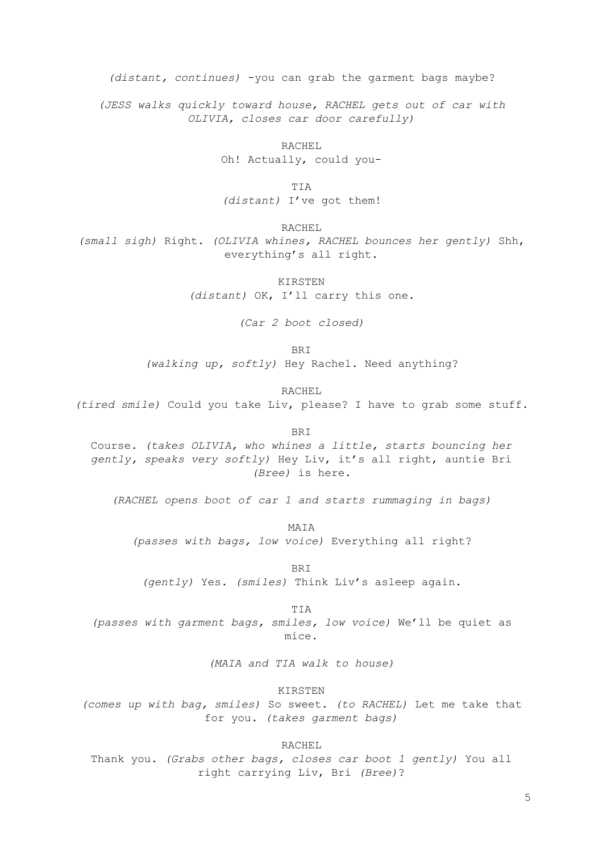*(distant, continues)* -you can grab the garment bags maybe?

*(JESS walks quickly toward house, RACHEL gets out of car with OLIVIA, closes car door carefully)*

> RACHEL Oh! Actually, could you-

TIA *(distant)* I've got them!

RACHEL

*(small sigh)* Right. *(OLIVIA whines, RACHEL bounces her gently)* Shh, everything's all right.

> KIRSTEN *(distant)* OK, I'll carry this one.

> > *(Car 2 boot closed)*

BRI

*(walking up, softly)* Hey Rachel. Need anything?

RACHEL

*(tired smile)* Could you take Liv, please? I have to grab some stuff.

BRI

Course. *(takes OLIVIA, who whines a little, starts bouncing her gently, speaks very softly)* Hey Liv, it's all right, auntie Bri *(Bree)* is here.

*(RACHEL opens boot of car 1 and starts rummaging in bags)*

MATA *(passes with bags, low voice)* Everything all right?

BRI *(gently)* Yes. *(smiles)* Think Liv's asleep again.

TIA *(passes with garment bags, smiles, low voice)* We'll be quiet as mice.

*(MAIA and TIA walk to house)*

KIRSTEN

*(comes up with bag, smiles)* So sweet. *(to RACHEL)* Let me take that for you. *(takes garment bags)*

RACHEL

Thank you. *(Grabs other bags, closes car boot 1 gently)* You all right carrying Liv, Bri *(Bree)*?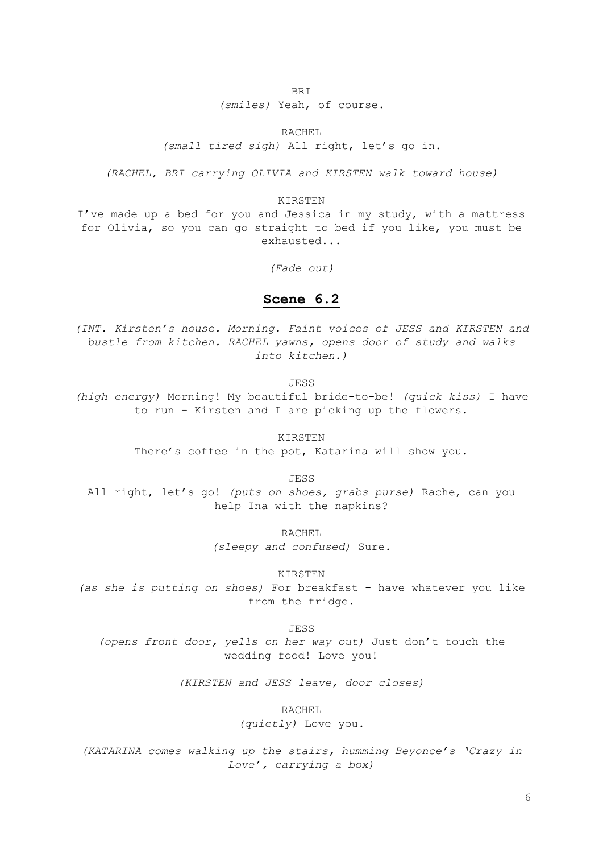BRI

*(smiles)* Yeah, of course.

RACHEL

*(small tired sigh)* All right, let's go in.

*(RACHEL, BRI carrying OLIVIA and KIRSTEN walk toward house)*

#### KIRSTEN

I've made up a bed for you and Jessica in my study, with a mattress for Olivia, so you can go straight to bed if you like, you must be exhausted...

*(Fade out)*

#### **Scene 6.2**

*(INT. Kirsten's house. Morning. Faint voices of JESS and KIRSTEN and bustle from kitchen. RACHEL yawns, opens door of study and walks into kitchen.)*

JESS

*(high energy)* Morning! My beautiful bride-to-be! *(quick kiss)* I have to run – Kirsten and I are picking up the flowers.

KIRSTEN

There's coffee in the pot, Katarina will show you.

**JESS** 

All right, let's go! *(puts on shoes, grabs purse)* Rache, can you help Ina with the napkins?

> RACHEL *(sleepy and confused)* Sure.

> > KIRSTEN

*(as she is putting on shoes)* For breakfast - have whatever you like from the fridge.

JESS

*(opens front door, yells on her way out)* Just don't touch the wedding food! Love you!

*(KIRSTEN and JESS leave, door closes)*

RACHEL *(quietly)* Love you.

*(KATARINA comes walking up the stairs, humming Beyonce's 'Crazy in Love', carrying a box)*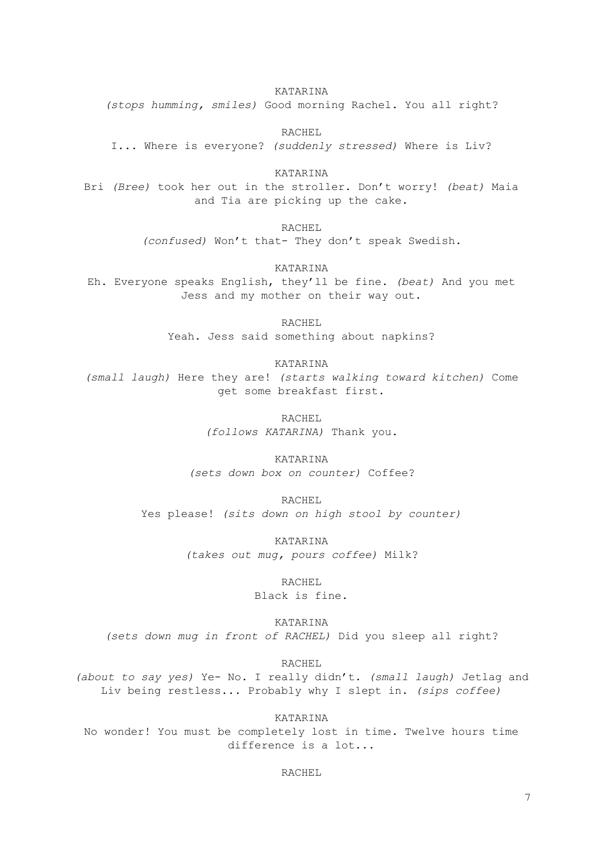KATARINA

*(stops humming, smiles)* Good morning Rachel. You all right?

RACHEL

I... Where is everyone? *(suddenly stressed)* Where is Liv?

KATARINA Bri *(Bree)* took her out in the stroller. Don't worry! *(beat)* Maia and Tia are picking up the cake.

> RACHEL *(confused)* Won't that- They don't speak Swedish.

> > KATARINA

Eh. Everyone speaks English, they'll be fine. *(beat)* And you met Jess and my mother on their way out.

> RACHEL Yeah. Jess said something about napkins?

> > KATARINA

*(small laugh)* Here they are! *(starts walking toward kitchen)* Come get some breakfast first.

> RACHEL *(follows KATARINA)* Thank you.

KATARINA *(sets down box on counter)* Coffee?

RACHEL Yes please! *(sits down on high stool by counter)*

> KATARINA *(takes out mug, pours coffee)* Milk?

> > RACHEL

Black is fine.

KATARINA *(sets down mug in front of RACHEL)* Did you sleep all right?

RACHEL

*(about to say yes)* Ye- No. I really didn't. *(small laugh)* Jetlag and Liv being restless... Probably why I slept in. *(sips coffee)*

KATARINA No wonder! You must be completely lost in time. Twelve hours time difference is a lot...

RACHEL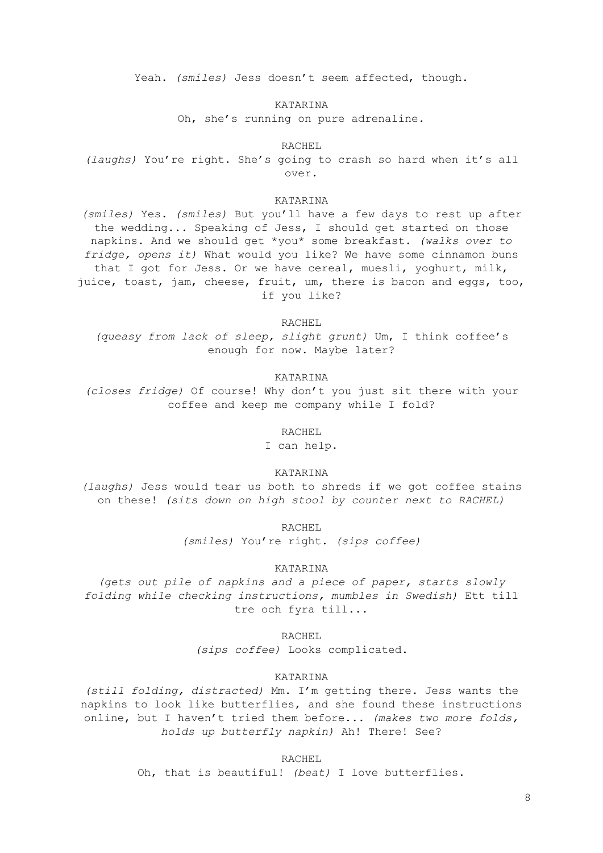Yeah. *(smiles)* Jess doesn't seem affected, though.

KATARINA

Oh, she's running on pure adrenaline.

RACHEL

*(laughs)* You're right. She's going to crash so hard when it's all over.

#### KATARINA

*(smiles)* Yes. *(smiles)* But you'll have a few days to rest up after the wedding... Speaking of Jess, I should get started on those napkins. And we should get \*you\* some breakfast. *(walks over to fridge, opens it)* What would you like? We have some cinnamon buns that I got for Jess. Or we have cereal, muesli, yoghurt, milk, juice, toast, jam, cheese, fruit, um, there is bacon and eggs, too, if you like?

RACHEL

*(queasy from lack of sleep, slight grunt)* Um, I think coffee's enough for now. Maybe later?

#### KATARINA

*(closes fridge)* Of course! Why don't you just sit there with your coffee and keep me company while I fold?

RACHEL

I can help.

KATARINA

*(laughs)* Jess would tear us both to shreds if we got coffee stains on these! *(sits down on high stool by counter next to RACHEL)*

RACHEL

*(smiles)* You're right. *(sips coffee)*

#### KATARINA

*(gets out pile of napkins and a piece of paper, starts slowly folding while checking instructions, mumbles in Swedish)* Ett till tre och fyra till...

RACHEL

*(sips coffee)* Looks complicated.

#### KATARINA

*(still folding, distracted)* Mm. I'm getting there. Jess wants the napkins to look like butterflies, and she found these instructions online, but I haven't tried them before... *(makes two more folds, holds up butterfly napkin)* Ah! There! See?

RACHEL

Oh, that is beautiful! *(beat)* I love butterflies.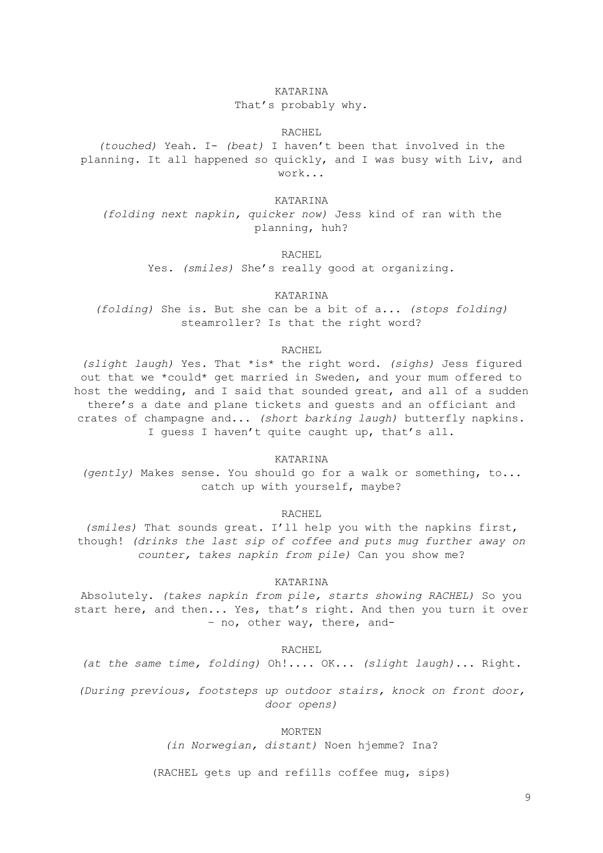#### KATARINA

#### That's probably why.

#### RACHEL

*(touched)* Yeah. I- *(beat)* I haven't been that involved in the planning. It all happened so quickly, and I was busy with Liv, and work...

KATARINA

*(folding next napkin, quicker now)* Jess kind of ran with the planning, huh?

RACHEL

Yes. *(smiles)* She's really good at organizing.

KATARINA

*(folding)* She is. But she can be a bit of a... *(stops folding)* steamroller? Is that the right word?

#### RACHEL

*(slight laugh)* Yes. That \*is\* the right word. *(sighs)* Jess figured out that we \*could\* get married in Sweden, and your mum offered to host the wedding, and I said that sounded great, and all of a sudden there's a date and plane tickets and guests and an officiant and crates of champagne and... *(short barking laugh)* butterfly napkins. I guess I haven't quite caught up, that's all.

KATARINA

*(gently)* Makes sense. You should go for a walk or something, to... catch up with yourself, maybe?

RACHEL

*(smiles)* That sounds great. I'll help you with the napkins first, though! *(drinks the last sip of coffee and puts mug further away on counter, takes napkin from pile)* Can you show me?

#### KATARINA

Absolutely. *(takes napkin from pile, starts showing RACHEL)* So you start here, and then... Yes, that's right. And then you turn it over – no, other way, there, and-

RACHEL

*(at the same time, folding)* Oh!.... OK... *(slight laugh)*... Right.

*(During previous, footsteps up outdoor stairs, knock on front door, door opens)*

MORTEN

*(in Norwegian, distant)* Noen hjemme? Ina?

(RACHEL gets up and refills coffee mug, sips)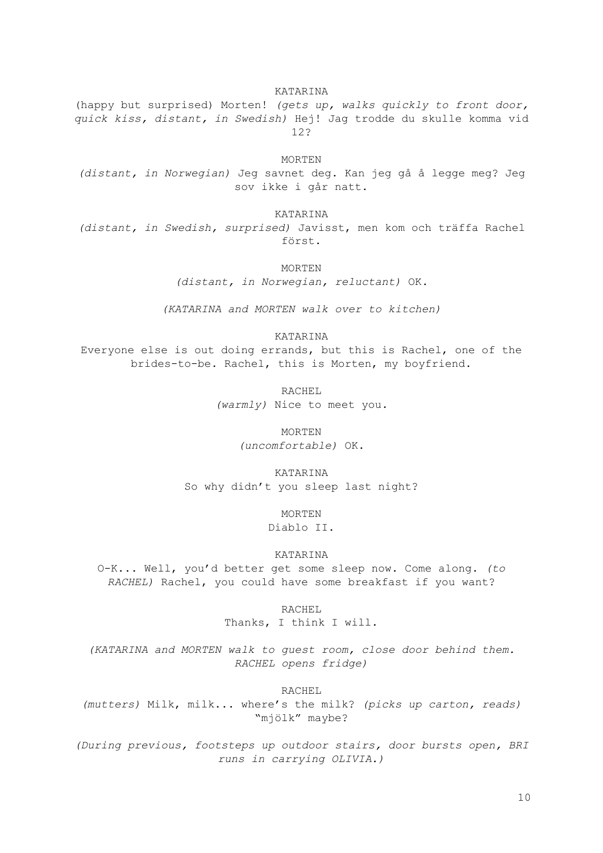KATARINA (happy but surprised) Morten! *(gets up, walks quickly to front door, quick kiss, distant, in Swedish)* Hej! Jag trodde du skulle komma vid 12?

MORTEN

*(distant, in Norwegian)* Jeg savnet deg. Kan jeg gå å legge meg? Jeg sov ikke i går natt.

KATARINA

*(distant, in Swedish, surprised)* Javisst, men kom och träffa Rachel först.

MORTEN

*(distant, in Norwegian, reluctant)* OK.

*(KATARINA and MORTEN walk over to kitchen)*

KATARINA

Everyone else is out doing errands, but this is Rachel, one of the brides-to-be. Rachel, this is Morten, my boyfriend.

> RACHEL *(warmly)* Nice to meet you.

> > MORTEN

*(uncomfortable)* OK.

KATARINA So why didn't you sleep last night?

> MORTEN Diablo II.

KATARINA

O-K... Well, you'd better get some sleep now. Come along. *(to RACHEL)* Rachel, you could have some breakfast if you want?

> RACHEL Thanks, I think I will.

*(KATARINA and MORTEN walk to guest room, close door behind them. RACHEL opens fridge)*

RACHEL

*(mutters)* Milk, milk... where's the milk? *(picks up carton, reads)* "mjölk" maybe?

*(During previous, footsteps up outdoor stairs, door bursts open, BRI runs in carrying OLIVIA.)*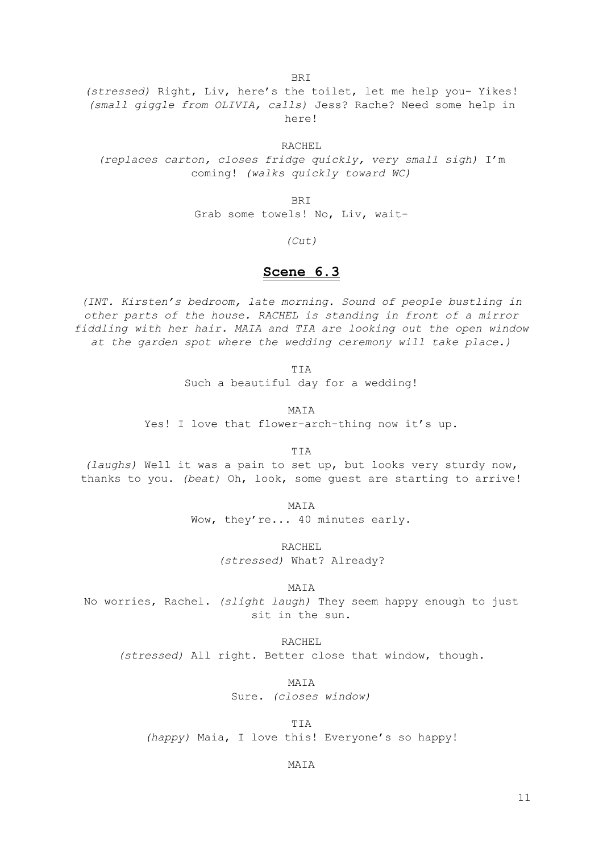**BRT** 

*(stressed)* Right, Liv, here's the toilet, let me help you- Yikes! *(small giggle from OLIVIA, calls)* Jess? Rache? Need some help in here!

RACHEL *(replaces carton, closes fridge quickly, very small sigh)* I'm coming! *(walks quickly toward WC)*

BRI

Grab some towels! No, Liv, wait-

*(Cut)*

## **Scene 6.3**

*(INT. Kirsten's bedroom, late morning. Sound of people bustling in other parts of the house. RACHEL is standing in front of a mirror fiddling with her hair. MAIA and TIA are looking out the open window at the garden spot where the wedding ceremony will take place.)*

TIA

Such a beautiful day for a wedding!

MATA

Yes! I love that flower-arch-thing now it's up.

TIA

*(laughs)* Well it was a pain to set up, but looks very sturdy now, thanks to you. *(beat)* Oh, look, some guest are starting to arrive!

MAIA

Wow, they're... 40 minutes early.

RACHEL

*(stressed)* What? Already?

MAIA

No worries, Rachel. *(slight laugh)* They seem happy enough to just sit in the sun.

RACHEL *(stressed)* All right. Better close that window, though.

> MAIA Sure. *(closes window)*

TIA *(happy)* Maia, I love this! Everyone's so happy!

MAIA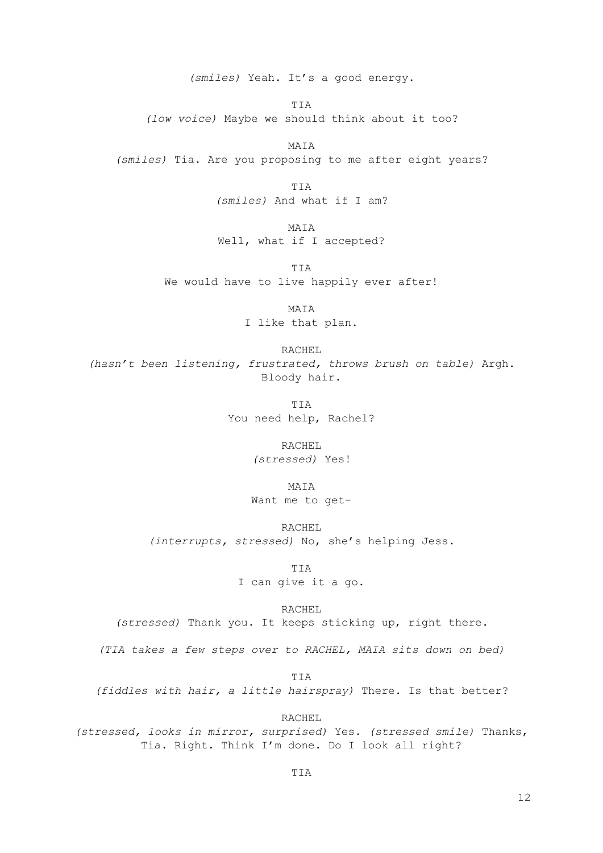*(smiles)* Yeah. It's a good energy.

TIA

*(low voice)* Maybe we should think about it too?

MAIA *(smiles)* Tia. Are you proposing to me after eight years?

> TIA *(smiles)* And what if I am?

MAIA Well, what if I accepted?

TIA We would have to live happily ever after!

> MAIA I like that plan.

RACHEL *(hasn't been listening, frustrated, throws brush on table)* Argh. Bloody hair.

> TIA You need help, Rachel?

> > RACHEL *(stressed)* Yes!

> > > MAIA

Want me to get-

RACHEL

*(interrupts, stressed)* No, she's helping Jess.

TIA I can give it a go.

RACHEL

*(stressed)* Thank you. It keeps sticking up, right there.

*(TIA takes a few steps over to RACHEL, MAIA sits down on bed)*

TIA

*(fiddles with hair, a little hairspray)* There. Is that better?

RACHEL

*(stressed, looks in mirror, surprised)* Yes. *(stressed smile)* Thanks, Tia. Right. Think I'm done. Do I look all right?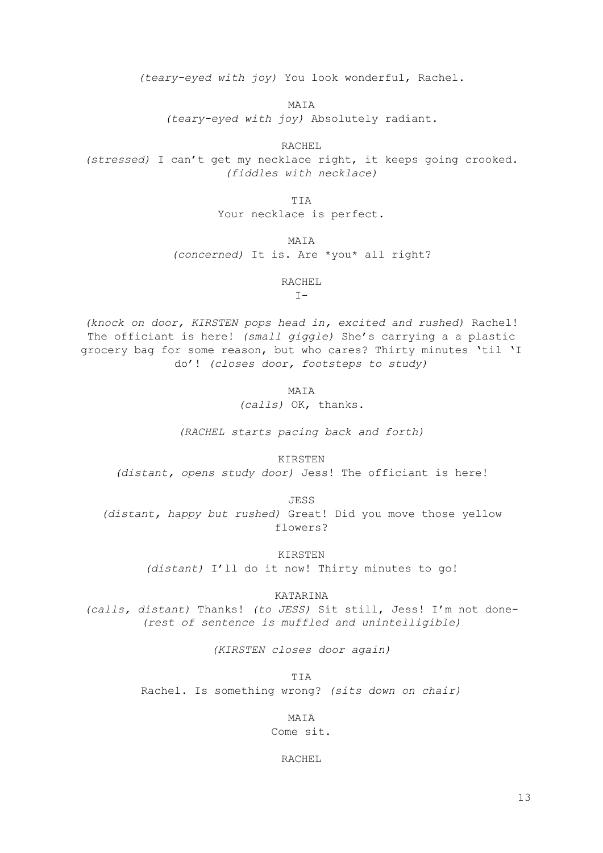*(teary-eyed with joy)* You look wonderful, Rachel.

MAIA

*(teary-eyed with joy)* Absolutely radiant.

RACHEL

*(stressed)* I can't get my necklace right, it keeps going crooked. *(fiddles with necklace)*

TIA

Your necklace is perfect.

MAIA

*(concerned)* It is. Are \*you\* all right?

RACHEL

 $I -$ 

*(knock on door, KIRSTEN pops head in, excited and rushed)* Rachel! The officiant is here! *(small giggle)* She's carrying a a plastic grocery bag for some reason, but who cares? Thirty minutes 'til 'I do'! *(closes door, footsteps to study)*

MATA

*(calls)* OK, thanks.

*(RACHEL starts pacing back and forth)*

KIRSTEN

*(distant, opens study door)* Jess! The officiant is here!

JESS *(distant, happy but rushed)* Great! Did you move those yellow flowers?

> KIRSTEN *(distant)* I'll do it now! Thirty minutes to go!

> > KATARINA

*(calls, distant)* Thanks! *(to JESS)* Sit still, Jess! I'm not done- *(rest of sentence is muffled and unintelligible)*

*(KIRSTEN closes door again)*

TIA Rachel. Is something wrong? *(sits down on chair)*

MATA

Come sit.

RACHEL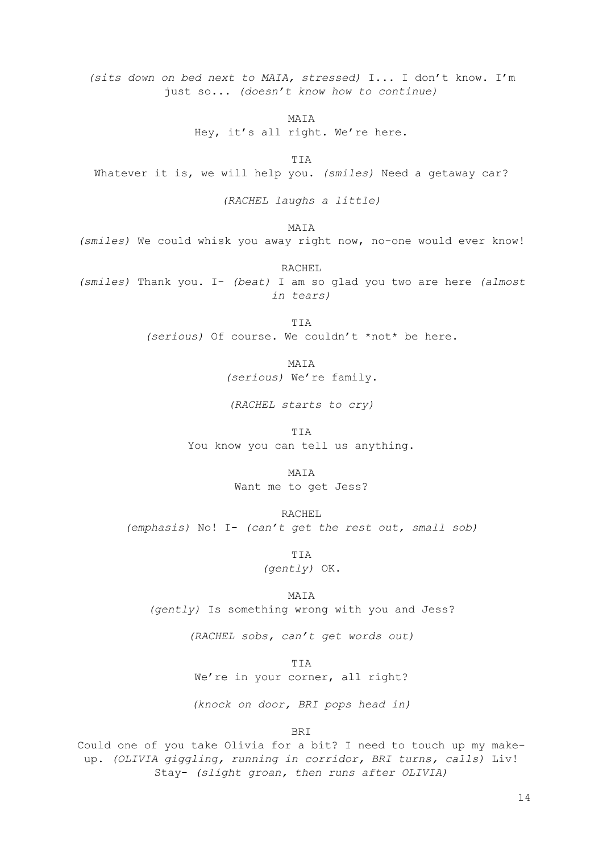*(sits down on bed next to MAIA, stressed)* I... I don't know. I'm just so... *(doesn't know how to continue)*

MAIA

Hey, it's all right. We're here.

TIA Whatever it is, we will help you. *(smiles)* Need a getaway car?

*(RACHEL laughs a little)*

MAIA

*(smiles)* We could whisk you away right now, no-one would ever know!

RACHEL *(smiles)* Thank you. I- *(beat)* I am so glad you two are here *(almost in tears)*

> TIA *(serious)* Of course. We couldn't \*not\* be here.

> > MATA

*(serious)* We're family.

*(RACHEL starts to cry)*

TIA You know you can tell us anything.

MAIA

Want me to get Jess?

RACHEL

*(emphasis)* No! I- *(can't get the rest out, small sob)*

TIA *(gently)* OK.

MATA

*(gently)* Is something wrong with you and Jess?

*(RACHEL sobs, can't get words out)*

TIA We're in your corner, all right?

*(knock on door, BRI pops head in)*

BRI

Could one of you take Olivia for a bit? I need to touch up my makeup. *(OLIVIA giggling, running in corridor, BRI turns, calls)* Liv! Stay- *(slight groan, then runs after OLIVIA)*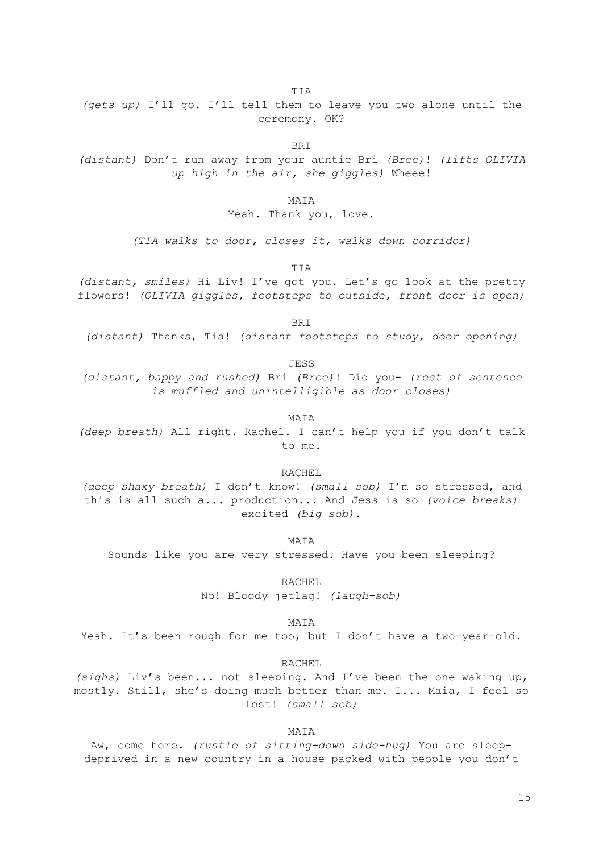TIA

*(gets up)* I'll go. I'll tell them to leave you two alone until the ceremony. OK?

BRI

*(distant)* Don't run away from your auntie Bri *(Bree)*! *(lifts OLIVIA up high in the air, she giggles)* Wheee!

MAIA

Yeah. Thank you, love.

*(TIA walks to door, closes it, walks down corridor)*

TIA

*(distant, smiles)* Hi Liv! I've got you. Let's go look at the pretty flowers! *(OLIVIA giggles, footsteps to outside, front door is open)*

BRI

*(distant)* Thanks, Tia! *(distant footsteps to study, door opening)*

**JESS** 

*(distant, bappy and rushed)* Bri *(Bree)*! Did you- *(rest of sentence is muffled and unintelligible as door closes)*

MAIA

*(deep breath)* All right. Rachel. I can't help you if you don't talk to me.

RACHEL

*(deep shaky breath)* I don't know! *(small sob)* I'm so stressed, and this is all such a... production... And Jess is so *(voice breaks)* excited *(big sob)*.

MAIA

Sounds like you are very stressed. Have you been sleeping?

RACHEL

No! Bloody jetlag! *(laugh-sob)*

MATA

Yeah. It's been rough for me too, but I don't have a two-year-old.

RACHEL

*(sighs)* Liv's been... not sleeping. And I've been the one waking up, mostly. Still, she's doing much better than me. I... Maia, I feel so lost! *(small sob)*

MATA

Aw, come here. *(rustle of sitting-down side-hug)* You are sleepdeprived in a new country in a house packed with people you don't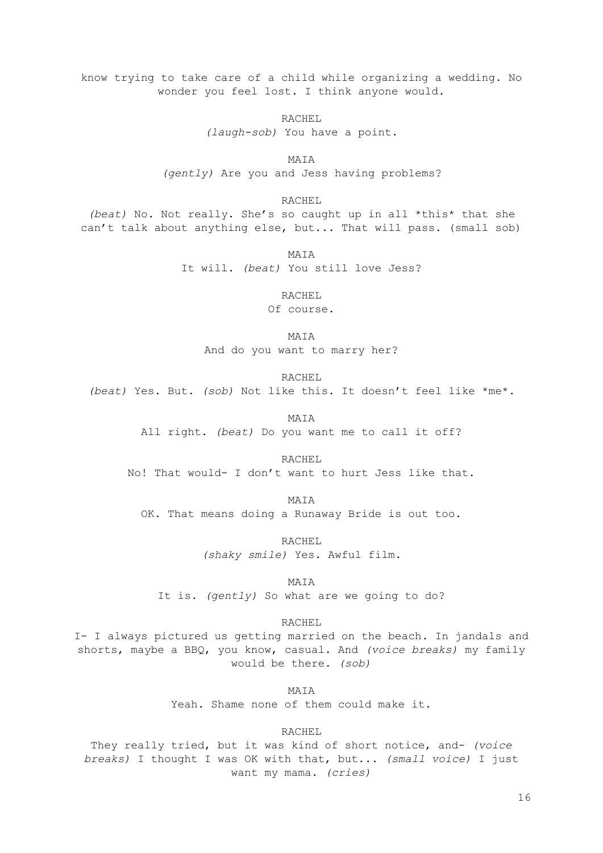know trying to take care of a child while organizing a wedding. No wonder you feel lost. I think anyone would.

> RACHEL *(laugh-sob)* You have a point.

MAIA *(gently)* Are you and Jess having problems?

RACHEL

*(beat)* No. Not really. She's so caught up in all \*this\* that she can't talk about anything else, but... That will pass. (small sob)

> MATA It will. *(beat)* You still love Jess?

> > RACHEL

Of course.

MAIA And do you want to marry her?

RACHEL

*(beat)* Yes. But. *(sob)* Not like this. It doesn't feel like \*me\*.

MAIA

All right. *(beat)* Do you want me to call it off?

RACHEL

No! That would- I don't want to hurt Jess like that.

MAIA OK. That means doing a Runaway Bride is out too.

RACHEL

*(shaky smile)* Yes. Awful film.

MAIA

It is. *(gently)* So what are we going to do?

RACHEL

I- I always pictured us getting married on the beach. In jandals and shorts, maybe a BBQ, you know, casual. And *(voice breaks)* my family would be there. *(sob)*

MAIA

Yeah. Shame none of them could make it.

RACHEL

They really tried, but it was kind of short notice, and- *(voice breaks)* I thought I was OK with that, but... *(small voice)* I just want my mama. *(cries)*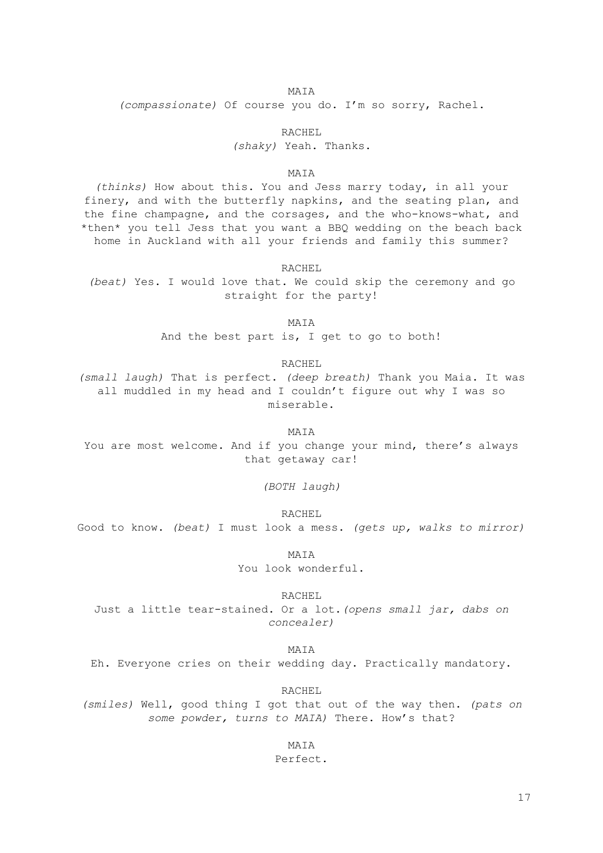#### MAIA

*(compassionate)* Of course you do. I'm so sorry, Rachel.

#### RACHEL

*(shaky)* Yeah. Thanks.

#### MAIA

*(thinks)* How about this. You and Jess marry today, in all your finery, and with the butterfly napkins, and the seating plan, and the fine champagne, and the corsages, and the who-knows-what, and \*then\* you tell Jess that you want a BBQ wedding on the beach back home in Auckland with all your friends and family this summer?

RACHEL

*(beat)* Yes. I would love that. We could skip the ceremony and go straight for the party!

MAIA

And the best part is, I get to go to both!

#### RACHEL

*(small laugh)* That is perfect. *(deep breath)* Thank you Maia. It was all muddled in my head and I couldn't figure out why I was so miserable.

MAIA You are most welcome. And if you change your mind, there's always that getaway car!

*(BOTH laugh)*

RACHEL

Good to know. *(beat)* I must look a mess. *(gets up, walks to mirror)*

MAIA

You look wonderful.

RACHEL.

Just a little tear-stained. Or a lot.*(opens small jar, dabs on concealer)*

MAIA

Eh. Everyone cries on their wedding day. Practically mandatory.

RACHEL

*(smiles)* Well, good thing I got that out of the way then. *(pats on some powder, turns to MAIA)* There. How's that?

MAIA

Perfect.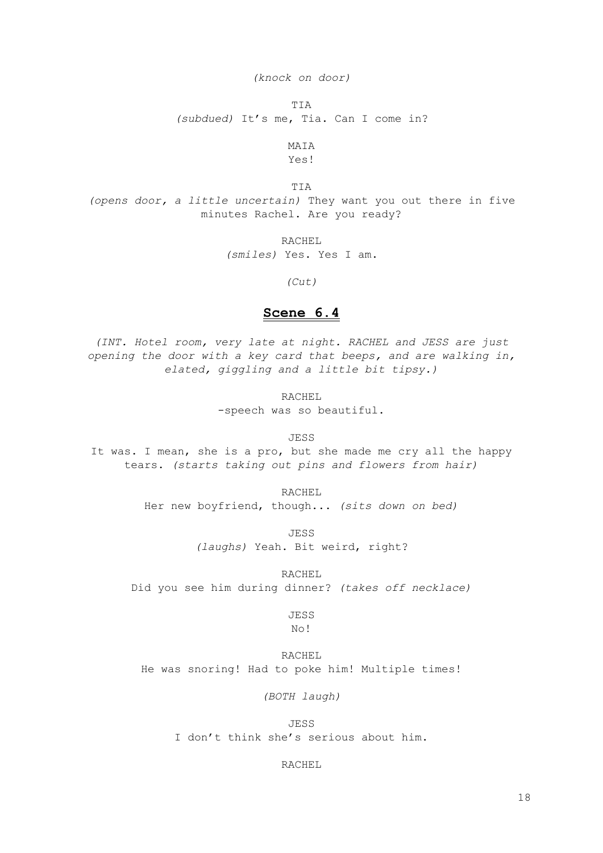*(knock on door)*

TIA

*(subdued)* It's me, Tia. Can I come in?

MAIA

Yes!

TIA

*(opens door, a little uncertain)* They want you out there in five minutes Rachel. Are you ready?

RACHEL

*(smiles)* Yes. Yes I am.

*(Cut)*

#### **Scene 6.4**

*(INT. Hotel room, very late at night. RACHEL and JESS are just opening the door with a key card that beeps, and are walking in, elated, giggling and a little bit tipsy.)*

RACHEL

-speech was so beautiful.

JESS

It was. I mean, she is a pro, but she made me cry all the happy tears. *(starts taking out pins and flowers from hair)*

RACHEL

Her new boyfriend, though... *(sits down on bed)*

JESS *(laughs)* Yeah. Bit weird, right?

RACHEL

Did you see him during dinner? *(takes off necklace)*

JESS No!

RACHEL He was snoring! Had to poke him! Multiple times!

*(BOTH laugh)*

JESS I don't think she's serious about him.

RACHEL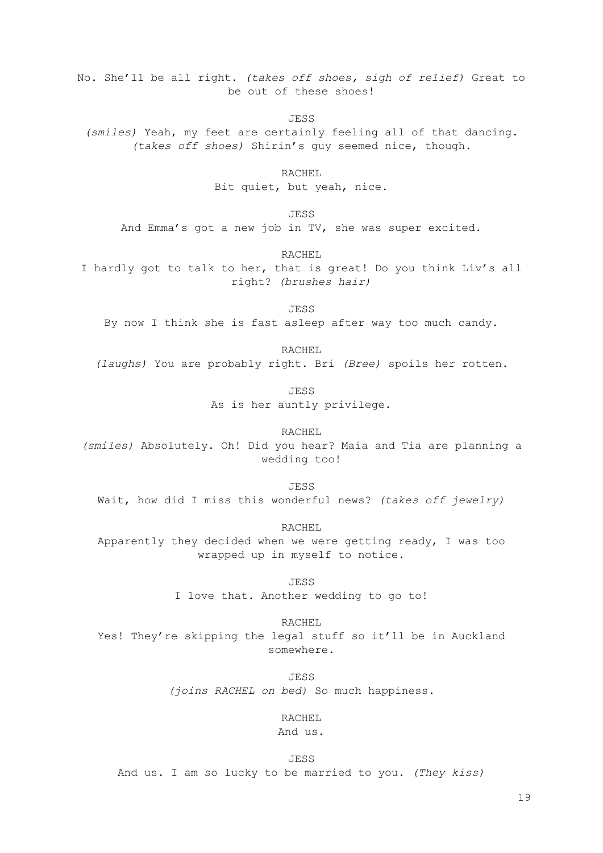No. She'll be all right. *(takes off shoes, sigh of relief)* Great to be out of these shoes!

**JESS** 

*(smiles)* Yeah, my feet are certainly feeling all of that dancing. *(takes off shoes)* Shirin's guy seemed nice, though.

RACHEL

Bit quiet, but yeah, nice.

JESS

And Emma's got a new job in TV, she was super excited.

RACHEL

I hardly got to talk to her, that is great! Do you think Liv's all right? *(brushes hair)*

JESS

By now I think she is fast asleep after way too much candy.

RACHEL

*(laughs)* You are probably right. Bri *(Bree)* spoils her rotten.

JESS As is her auntly privilege.

RACHEL *(smiles)* Absolutely. Oh! Did you hear? Maia and Tia are planning a wedding too!

JESS

Wait, how did I miss this wonderful news? *(takes off jewelry)*

RACHEL Apparently they decided when we were getting ready, I was too wrapped up in myself to notice.

> JESS I love that. Another wedding to go to!

RACHEL Yes! They're skipping the legal stuff so it'll be in Auckland somewhere.

> JESS *(joins RACHEL on bed)* So much happiness.

> > RACHEL

And us.

JESS

And us. I am so lucky to be married to you. *(They kiss)*